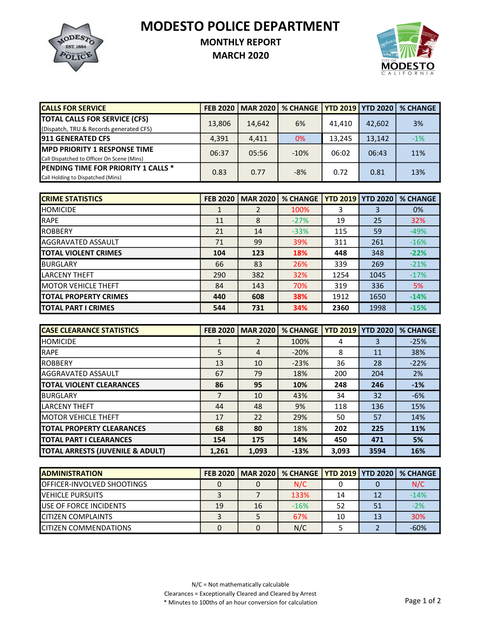MODESTO POLICE DEPARTMENT



## MONTHLY REPORT

MARCH 2020



| <b>CALLS FOR SERVICE</b>                   | <b>FEB 2020</b> | <b>MAR 2020</b> | % CHANGE YTD 2019 YTD 2020 |        |        | <b>% CHANGE</b> |
|--------------------------------------------|-----------------|-----------------|----------------------------|--------|--------|-----------------|
| <b>TOTAL CALLS FOR SERVICE (CFS)</b>       | 13,806          | 14,642          | 6%                         | 41.410 | 42,602 | 3%              |
| (Dispatch, TRU & Records generated CFS)    |                 |                 |                            |        |        |                 |
| <b>1911 GENERATED CFS</b>                  | 4,391           | 4.411           | 0%                         | 13.245 | 13.142 | $-1%$           |
| <b>IMPD PRIORITY 1 RESPONSE TIME</b>       | 06:37           | 05:56           | $-10%$                     | 06:02  | 06:43  | 11%             |
| Call Dispatched to Officer On Scene (Mins) |                 |                 |                            |        |        |                 |
| <b>PENDING TIME FOR PRIORITY 1 CALLS *</b> | 0.83            | 0.77            | $-8%$                      | 0.72   | 0.81   | 13%             |
| Call Holding to Dispatched (Mins)          |                 |                 |                            |        |        |                 |

| <b>CRIME STATISTICS</b>      | <b>FEB 2020</b> | <b>MAR 2020</b> | <b>% CHANGE</b> |      | <b>YTD 2019   YTD 2020</b> | <b>% CHANGE</b> |
|------------------------------|-----------------|-----------------|-----------------|------|----------------------------|-----------------|
| <b>I</b> HOMICIDE            |                 | 2               | 100%            | 3    | 3                          | 0%              |
| RAPE                         | 11              | 8               | $-27%$          | 19   | 25                         | 32%             |
| <b>IROBBERY</b>              | 21              | 14              | $-33%$          | 115  | 59                         | $-49%$          |
| <b>I</b> AGGRAVATED ASSAULT  | 71              | 99              | 39%             | 311  | 261                        | $-16%$          |
| <b>ITOTAL VIOLENT CRIMES</b> | 104             | 123             | 18%             | 448  | 348                        | $-22%$          |
| <b>BURGLARY</b>              | 66              | 83              | 26%             | 339  | 269                        | $-21%$          |
| ILARCENY THEFT               | 290             | 382             | 32%             | 1254 | 1045                       | $-17%$          |
| <b>IMOTOR VEHICLE THEFT</b>  | 84              | 143             | 70%             | 319  | 336                        | 5%              |
| <b>TOTAL PROPERTY CRIMES</b> | 440             | 608             | 38%             | 1912 | 1650                       | $-14%$          |
| <b>ITOTAL PART I CRIMES</b>  | 544             | 731             | 34%             | 2360 | 1998                       | $-15%$          |

| <b>ICASE CLEARANCE STATISTICS</b> | <b>FEB 2020</b> | <b>MAR 2020</b> | <b>% CHANGE</b> | <b>YTD 2019   YTD 2020</b> |      | <b>% CHANGE</b> |
|-----------------------------------|-----------------|-----------------|-----------------|----------------------------|------|-----------------|
| <b>HOMICIDE</b>                   |                 | 2               | 100%            | 4                          | 3    | $-25%$          |
| <b>IRAPE</b>                      | 5               | $\overline{4}$  | $-20%$          | 8                          | 11   | 38%             |
| <b>ROBBERY</b>                    | 13              | 10              | $-23%$          | 36                         | 28   | $-22%$          |
| <b>AGGRAVATED ASSAULT</b>         | 67              | 79              | 18%             | 200                        | 204  | <b>2%</b>       |
| <b>TOTAL VIOLENT CLEARANCES</b>   | 86              | 95              | 10%             | 248                        | 246  | $-1%$           |
| <b>I</b> BURGLARY                 | 7               | 10              | 43%             | 34                         | 32   | $-6%$           |
| <b>LARCENY THEFT</b>              | 44              | 48              | 9%              | 118                        | 136  | 15%             |
| <b>IMOTOR VEHICLE THEFT</b>       | 17              | 22              | 29%             | 50                         | 57   | 14%             |
| <b>ITOTAL PROPERTY CLEARANCES</b> | 68              | 80              | 18%             | 202                        | 225  | 11%             |
| <b>ITOTAL PART I CLEARANCES</b>   | 154             | 175             | 14%             | 450                        | 471  | 5%              |
| TOTAL ARRESTS (JUVENILE & ADULT)  | 1,261           | 1,093           | $-13%$          | 3,093                      | 3594 | 16%             |

| <b>IADMINISTRATION</b>             |    |    | FEB 2020   MAR 2020   % CHANGE   YTD 2019   YTD 2020   % CHANGE |    |    |        |
|------------------------------------|----|----|-----------------------------------------------------------------|----|----|--------|
| <b>IOFFICER-INVOLVED SHOOTINGS</b> |    |    | N/C                                                             |    |    | N/C    |
| <b>IVEHICLE PURSUITS</b>           |    |    | 133%                                                            | 14 | 12 | $-14%$ |
| <b>IUSE OF FORCE INCIDENTS</b>     | 19 | 16 | $-16%$                                                          | 52 | 51 | $-2%$  |
| <b>ICITIZEN COMPLAINTS</b>         |    |    | 67%                                                             | 10 | 13 | 30%    |
| <b>ICITIZEN COMMENDATIONS</b>      |    |    | N/C                                                             |    |    | $-60%$ |